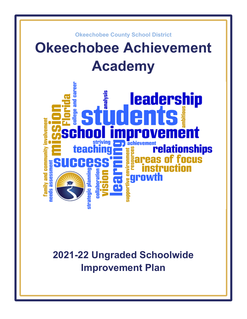

# **2021-22 Ungraded Schoolwide Improvement Plan**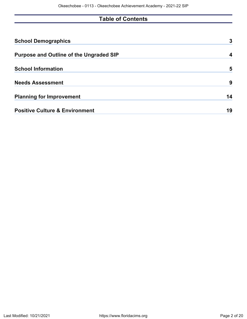## **Table of Contents**

| <b>School Demographics</b>                     | 3  |
|------------------------------------------------|----|
| <b>Purpose and Outline of the Ungraded SIP</b> |    |
| <b>School Information</b>                      | 5  |
| <b>Needs Assessment</b>                        | 9  |
| <b>Planning for Improvement</b>                | 14 |
| <b>Positive Culture &amp; Environment</b>      | 19 |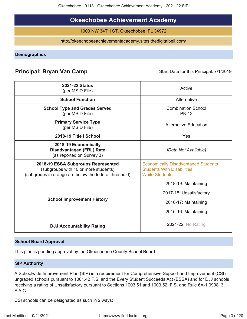### **Okeechobee Achievement Academy**

1000 NW 34TH ST, Okeechobee, FL 34972

http://okeechobeeachievementacademy.sites.thedigitalbell.com/

<span id="page-2-0"></span>**Demographics**

### **Principal: Bryan Van Camp** Start Date for this Principal: 7/1/2019

| <b>2021-22 Status</b><br>(per MSID File)                                                                                            | Active                                                                                                   |  |  |  |  |
|-------------------------------------------------------------------------------------------------------------------------------------|----------------------------------------------------------------------------------------------------------|--|--|--|--|
| <b>School Function</b>                                                                                                              | Alternative                                                                                              |  |  |  |  |
| <b>School Type and Grades Served</b><br>(per MSID File)                                                                             | <b>Combination School</b><br><b>PK-12</b>                                                                |  |  |  |  |
| <b>Primary Service Type</b><br>(per MSID File)                                                                                      | <b>Alternative Education</b>                                                                             |  |  |  |  |
| 2018-19 Title I School                                                                                                              | Yes                                                                                                      |  |  |  |  |
| 2018-19 Economically<br><b>Disadvantaged (FRL) Rate</b><br>(as reported on Survey 3)                                                | [Data Not Available]                                                                                     |  |  |  |  |
| 2018-19 ESSA Subgroups Represented<br>(subgroups with 10 or more students)<br>(subgroups in orange are below the federal threshold) | <b>Economically Disadvantaged Students</b><br><b>Students With Disabilities</b><br><b>White Students</b> |  |  |  |  |
| <b>School Improvement History</b>                                                                                                   | 2018-19: Maintaining<br>2017-18: Unsatisfactory<br>2016-17: Maintaining<br>2015-16: Maintaining          |  |  |  |  |
| <b>DJJ Accountability Rating</b>                                                                                                    | <b>2021-22: No Rating</b>                                                                                |  |  |  |  |

#### **School Board Approval**

This plan is pending approval by the Okeechobee County School Board.

#### **SIP Authority**

A Schoolwide Improvement Plan (SIP) is a requirement for Comprehensive Support and Improvement (CSI) ungraded schools pursuant to 1001.42 F.S. and the Every Student Succeeds Act (ESSA) and for DJJ schools receiving a rating of Unsatisfactory pursuant to Sections 1003.51 and 1003.52, F.S. and Rule 6A-1.099813, F.A.C.

CSI schools can be designated as such in 2 ways: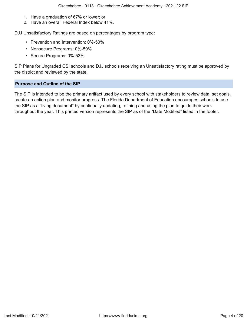- 1. Have a graduation of 67% or lower; or
- 2. Have an overall Federal Index below 41%.

DJJ Unsatisfactory Ratings are based on percentages by program type:

- Prevention and Intervention: 0%-50%
- Nonsecure Programs: 0%-59%
- Secure Programs: 0%-53%

SIP Plans for Ungraded CSI schools and DJJ schools receiving an Unsatisfactory rating must be approved by the district and reviewed by the state.

#### <span id="page-3-0"></span>**Purpose and Outline of the SIP**

The SIP is intended to be the primary artifact used by every school with stakeholders to review data, set goals, create an action plan and monitor progress. The Florida Department of Education encourages schools to use the SIP as a "living document" by continually updating, refining and using the plan to guide their work throughout the year. This printed version represents the SIP as of the "Date Modified" listed in the footer.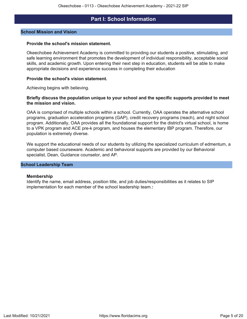### **Part I: School Information**

#### <span id="page-4-0"></span>**School Mission and Vision**

#### **Provide the school's mission statement.**

Okeechobee Achievement Academy is committed to providing our students a positive, stimulating, and safe learning environment that promotes the development of individual responsibility, acceptable social skills, and academic growth. Upon entering their next step in education, students will be able to make appropriate decisions and experience success in completing their education

#### **Provide the school's vision statement.**

Achieving begins with believing.

#### **Briefly discuss the population unique to your school and the specific supports provided to meet the mission and vision.**

OAA is comprised of multiple schools within a school. Currently, OAA operates the alternative school programs, graduation acceleration programs (GAP), credit recovery programs (reach), and night school program. Additionally, OAA provides all the foundational support for the district's virtual school, is home to a VPK program and ACE pre-k program, and houses the elementary IBP program. Therefore, our population is extremely diverse.

We support the educational needs of our students by utilizing the specialized curriculum of edmentum, a computer based courseware. Academic and behavioral supports are provided by our Behavioral specialist, Dean, Guidance counselor, and AP.

#### **School Leadership Team**

#### **Membership**

Identify the name, email address, position title, and job duties/responsibilities as it relates to SIP implementation for each member of the school leadership team.**:**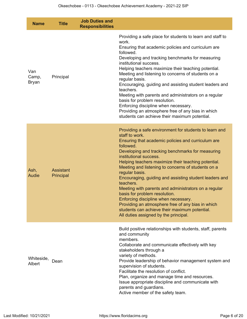| <b>Name</b>                  | <b>Title</b>           | <b>Job Duties and</b><br><b>Responsibilities</b> |                                                                                                                                                                                                                                                                                                                                                                                                                                                                                                                                                                                                                                                                                                                 |
|------------------------------|------------------------|--------------------------------------------------|-----------------------------------------------------------------------------------------------------------------------------------------------------------------------------------------------------------------------------------------------------------------------------------------------------------------------------------------------------------------------------------------------------------------------------------------------------------------------------------------------------------------------------------------------------------------------------------------------------------------------------------------------------------------------------------------------------------------|
| Van<br>Camp,<br><b>Bryan</b> | Principal              |                                                  | Providing a safe place for students to learn and staff to<br>work.<br>Ensuring that academic policies and curriculum are<br>followed.<br>Developing and tracking benchmarks for measuring<br>institutional success.<br>Helping teachers maximize their teaching potential.<br>Meeting and listening to concerns of students on a<br>regular basis.<br>Encouraging, guiding and assisting student leaders and<br>teachers.<br>Meeting with parents and administrators on a regular<br>basis for problem resolution.<br>Enforcing discipline when necessary.<br>Providing an atmosphere free of any bias in which<br>students can achieve their maximum potential.                                                |
| Ash,<br>Audie                | Assistant<br>Principal |                                                  | Providing a safe environment for students to learn and<br>staff to work.<br>Ensuring that academic policies and curriculum are<br>followed.<br>Developing and tracking benchmarks for measuring<br>institutional success.<br>Helping teachers maximize their teaching potential.<br>Meeting and listening to concerns of students on a<br>regular basis.<br>Encouraging, guiding and assisting student leaders and<br>teachers.<br>Meeting with parents and administrators on a regular<br>basis for problem resolution.<br>Enforcing discipline when necessary.<br>Providing an atmosphere free of any bias in which<br>students can achieve their maximum potential.<br>All duties assigned by the principal. |
| Whiteside,<br>Albert         | Dean                   |                                                  | Build positive relationships with students, staff, parents<br>and community<br>members.<br>Collaborate and communicate effectively with key<br>stakeholders through a<br>variety of methods.<br>Provide leadership of behavior management system and<br>supervision of students.<br>Facilitate the resolution of conflict.<br>Plan, organize and manage time and resources.<br>Issue appropriate discipline and communicate with<br>parents and guardians.<br>Active member of the safety team.                                                                                                                                                                                                                 |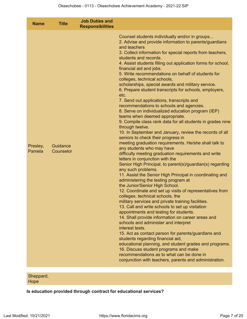| <b>Name</b>        | <b>Title</b>          | <b>Job Duties and</b><br><b>Responsibilities</b> |                                                                                                                                                                                                                                                                                                                                                                                                                                                                                                                                                                                                                                                                                                                                                                                                                                                                                                                                                                                                                                                                                                                                                                                                                                                                                                                                                                                                                                                                                                                                                                                                                                                                                                                                                                                                                                                                                                                                                                               |
|--------------------|-----------------------|--------------------------------------------------|-------------------------------------------------------------------------------------------------------------------------------------------------------------------------------------------------------------------------------------------------------------------------------------------------------------------------------------------------------------------------------------------------------------------------------------------------------------------------------------------------------------------------------------------------------------------------------------------------------------------------------------------------------------------------------------------------------------------------------------------------------------------------------------------------------------------------------------------------------------------------------------------------------------------------------------------------------------------------------------------------------------------------------------------------------------------------------------------------------------------------------------------------------------------------------------------------------------------------------------------------------------------------------------------------------------------------------------------------------------------------------------------------------------------------------------------------------------------------------------------------------------------------------------------------------------------------------------------------------------------------------------------------------------------------------------------------------------------------------------------------------------------------------------------------------------------------------------------------------------------------------------------------------------------------------------------------------------------------------|
| Presley,<br>Pamela | Guidance<br>Counselor |                                                  | Counsel students individually and/or in groups<br>2. Advise and provide information to parents/guardians<br>and teachers<br>3. Collect information for special reports from teachers,<br>students and records.<br>4. Assist students filling out application forms for school,<br>financial aid and jobs.<br>5. Write recommendations on behalf of students for<br>colleges, technical schools,<br>scholarships, special awards and military service.<br>6. Prepare student transcripts for schools, employers,<br>etc.<br>7. Send out applications, transcripts and<br>recommendations to schools and agencies.<br>8. Serve on individualized education program (IEP)<br>teams when deemed appropriate.<br>9. Compile class rank data for all students in grades nine<br>through twelve.<br>10. In September and January, review the records of all<br>seniors to check their progress in<br>meeting graduation requirements. He/she shall talk to<br>any students who may have<br>difficulty meeting graduation requirements and write<br>letters in conjunction with the<br>Senior High Principal, to parent(s)/guardian(s) regarding<br>any such problems.<br>11. Assist the Senior High Principal in coordinating and<br>administering the testing program at<br>the Junior/Senior High School.<br>12. Coordinate and set up visits of representatives from<br>colleges, technical schools, the<br>military services and private training facilities.<br>13. Call and write schools to set up visitation<br>appointments and testing for students.<br>14. Shall provide information on career areas and<br>schools and administer and interpret<br>interest tests.<br>15. Act as contact person for parents/guardians and<br>students regarding financial aid,<br>educational planning, and student grades and programs.<br>16. Discuss student programs and make<br>recommendations as to what can be done in<br>conjunction with teachers, parents and administration. |
|                    |                       |                                                  |                                                                                                                                                                                                                                                                                                                                                                                                                                                                                                                                                                                                                                                                                                                                                                                                                                                                                                                                                                                                                                                                                                                                                                                                                                                                                                                                                                                                                                                                                                                                                                                                                                                                                                                                                                                                                                                                                                                                                                               |

Sheppard, **Hope** 

**Is education provided through contract for educational services?**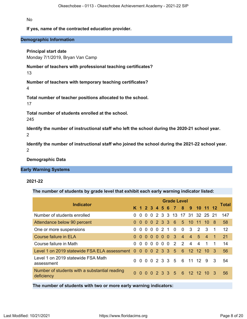No

#### **If yes, name of the contracted education provider.**

#### **Demographic Information**

#### **Principal start date**

Monday 7/1/2019, Bryan Van Camp

**Number of teachers with professional teaching certificates?**

13

**Number of teachers with temporary teaching certificates?** 4

**Total number of teacher positions allocated to the school.**

17

**Total number of students enrolled at the school.** 245

**Identify the number of instructional staff who left the school during the 2020-21 school year.** 2

**Identify the number of instructional staff who joined the school during the 2021-22 school year.** 2

**Demographic Data**

#### **Early Warning Systems**

#### **2021-22**

**The number of students by grade level that exhibit each early warning indicator listed:**

| <b>Indicator</b>                                             |          |                | <b>Grade Level</b> |     |  |             |  |             |                |                |                              |                |                |              |
|--------------------------------------------------------------|----------|----------------|--------------------|-----|--|-------------|--|-------------|----------------|----------------|------------------------------|----------------|----------------|--------------|
|                                                              |          |                |                    |     |  |             |  |             |                |                | K 1 2 3 4 5 6 7 8 9 10 11 12 |                |                | <b>Total</b> |
| Number of students enrolled                                  |          | $\overline{0}$ | 0 <sub>0</sub>     |     |  |             |  |             |                |                | 2 3 3 13 17 31 32 25 21      |                |                | 147          |
| Attendance below 90 percent                                  | $\Omega$ | $\Omega$       |                    |     |  |             |  |             |                |                | 0 0 2 3 3 6 5 10 11          | $10 \quad 8$   |                | 58           |
| One or more suspensions                                      | 0        |                |                    |     |  | 0 0 0 0 2 1 |  | $\mathbf 0$ | $\overline{0}$ | $3\quad 2$     |                              | -3             | $\overline{1}$ | 12           |
| Course failure in ELA                                        | $\Omega$ | $\Omega$       | $\Omega$           | - 0 |  |             |  | $0 0 0 3$   | $\overline{4}$ | $\overline{4}$ | $5^{\circ}$                  | $\overline{4}$ | $\mathbf{1}$   | 21           |
| Course failure in Math                                       | 0        | $\Omega$       | $\Omega$           |     |  |             |  | 00002       | $\overline{2}$ | $\overline{4}$ | 4                            | 1              | 1              | 14           |
| Level 1 on 2019 statewide FSA ELA assessment 0 0 0 0 2 3 3 5 |          |                |                    |     |  |             |  |             | 6              |                | 12 12 10 3                   |                |                | 56           |
| Level 1 on 2019 statewide FSA Math<br>assessment             | 0        |                |                    |     |  |             |  |             |                |                | 0 0 0 2 3 3 5 6 11 12 9      |                | 3              | 54           |
| Number of students with a substantial reading<br>deficiency  | 0        |                |                    |     |  |             |  |             |                |                | 0 0 0 2 3 3 5 6 12 12 10 3   |                |                | 56           |

**The number of students with two or more early warning indicators:**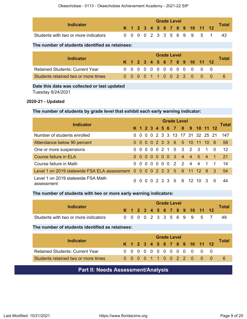| Indicator                            |  | <b>Grade Level</b> |  |  |  |  |  |  |  |  |  |                              |  |       |
|--------------------------------------|--|--------------------|--|--|--|--|--|--|--|--|--|------------------------------|--|-------|
|                                      |  |                    |  |  |  |  |  |  |  |  |  | K 1 2 3 4 5 6 7 8 9 10 11 12 |  | Total |
| Students with two or more indicators |  |                    |  |  |  |  |  |  |  |  |  | 0 0 0 0 2 3 3 5 6 9 9 5 1    |  | -43   |

### **The number of students identified as retainees:**

| <b>Indicator</b>                       |  | <b>Grade Level</b> |  |  |  |  |  |  |  |  |  |                              |  |       |
|----------------------------------------|--|--------------------|--|--|--|--|--|--|--|--|--|------------------------------|--|-------|
|                                        |  |                    |  |  |  |  |  |  |  |  |  | K 1 2 3 4 5 6 7 8 9 10 11 12 |  | Total |
| <b>Retained Students: Current Year</b> |  |                    |  |  |  |  |  |  |  |  |  | 0 0 0 0 0 0 0 0 0 0 0 0 0    |  |       |
| Students retained two or more times    |  |                    |  |  |  |  |  |  |  |  |  | 0 0 0 0 1 1 0 0 2 2 0 0 0    |  |       |

#### **Date this data was collected or last updated**

Tuesday 8/24/2021

#### **2020-21 - Updated**

#### **The number of students by grade level that exhibit each early warning indicator:**

|                                                                          | <b>Grade Level</b> |  |  |  |  |  |  |  |                               |  |  |                |                |       |
|--------------------------------------------------------------------------|--------------------|--|--|--|--|--|--|--|-------------------------------|--|--|----------------|----------------|-------|
| <b>Indicator</b>                                                         |                    |  |  |  |  |  |  |  | K 1 2 3 4 5 6 7 8 9 10 11 12  |  |  |                |                | Total |
| Number of students enrolled                                              | $\Omega$           |  |  |  |  |  |  |  | 0 0 0 2 3 3 13 17 31 32 25 21 |  |  |                |                | 147   |
| Attendance below 90 percent                                              |                    |  |  |  |  |  |  |  | 0 0 0 0 2 3 3 6 5 10 11 10 8  |  |  |                |                | 58    |
| One or more suspensions                                                  | $\Omega$           |  |  |  |  |  |  |  | 0 0 0 0 2 1 0 3 2 3           |  |  | $1\quad0$      |                | 12    |
| Course failure in ELA                                                    |                    |  |  |  |  |  |  |  | 0 0 0 0 0 0 0 3 4 4 5 4 1     |  |  |                |                | 21    |
| Course failure in Math                                                   |                    |  |  |  |  |  |  |  | 0 0 0 0 0 0 0 2 2 4 4         |  |  | $\overline{1}$ | $\overline{1}$ | 14    |
| Level 1 on 2019 statewide FSA ELA assessment 0 0 0 0 2 3 3 5 6 11 12 9 3 |                    |  |  |  |  |  |  |  |                               |  |  |                |                | 54    |
| Level 1 on 2019 statewide FSA Math<br>assessment                         | 0                  |  |  |  |  |  |  |  | 0 0 0 2 3 3 5 6 12 10 3       |  |  |                | - 0            | 44    |

### **The number of students with two or more early warning indicators:**

<span id="page-8-0"></span>

| Indicator                                       | <b>Grade Level</b> |          |          |              |              |          |                |  |          |                |                 |                              |     | Total |
|-------------------------------------------------|--------------------|----------|----------|--------------|--------------|----------|----------------|--|----------|----------------|-----------------|------------------------------|-----|-------|
|                                                 |                    |          |          |              |              |          |                |  |          |                |                 | K 1 2 3 4 5 6 7 8 9 10 11 12 |     |       |
| Students with two or more indicators            | $\Omega$           | $\Omega$ | - 0      |              |              |          |                |  |          |                | 0 2 3 3 5 6 9 9 | 5                            |     | 49    |
| The number of students identified as retainees: |                    |          |          |              |              |          |                |  |          |                |                 |                              |     |       |
|                                                 | <b>Grade Level</b> |          |          |              |              |          |                |  |          |                |                 |                              |     |       |
|                                                 |                    |          |          |              |              |          |                |  |          |                |                 |                              |     |       |
| <b>Indicator</b>                                |                    |          |          |              |              |          |                |  |          |                |                 | K 1 2 3 4 5 6 7 8 9 10 11 12 |     | Total |
| <b>Retained Students: Current Year</b>          | $\Omega$           | $\Omega$ | $\Omega$ | <sup>n</sup> | <sup>n</sup> | $\Omega$ | 0 <sub>0</sub> |  | $\Omega$ | $\overline{0}$ | $\Omega$        | $\Omega$                     | - 0 |       |

### **Part II: Needs Assessment/Analysis**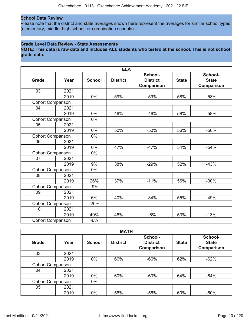#### **School Data Review**

Please note that the district and state averages shown here represent the averages for similar school types (elementary, middle, high school, or combination schools).

#### **Grade Level Data Review - State Assessments**

**NOTE: This data is raw data and includes ALL students who tested at the school. This is not school grade data.**

|                          |      |               | <b>ELA</b>      |                                          |              |                                              |
|--------------------------|------|---------------|-----------------|------------------------------------------|--------------|----------------------------------------------|
| <b>Grade</b>             | Year | <b>School</b> | <b>District</b> | School-<br><b>District</b><br>Comparison | <b>State</b> | School-<br><b>State</b><br><b>Comparison</b> |
| 03                       | 2021 |               |                 |                                          |              |                                              |
|                          | 2019 | 0%            | 59%             | $-59%$                                   | 58%          | $-58%$                                       |
| <b>Cohort Comparison</b> |      |               |                 |                                          |              |                                              |
| 04                       | 2021 |               |                 |                                          |              |                                              |
|                          | 2019 | 0%            | 46%             | $-46%$                                   | 58%          | $-58%$                                       |
| <b>Cohort Comparison</b> |      | 0%            |                 |                                          |              |                                              |
| 05                       | 2021 |               |                 |                                          |              |                                              |
|                          | 2019 | 0%            | 50%             | $-50%$                                   | 56%          | $-56%$                                       |
| <b>Cohort Comparison</b> |      | 0%            |                 |                                          |              |                                              |
| 06                       | 2021 |               |                 |                                          |              |                                              |
|                          | 2019 | 0%            | 47%             | $-47%$                                   | 54%          | $-54%$                                       |
| <b>Cohort Comparison</b> |      | 0%            |                 |                                          |              |                                              |
| 07                       | 2021 |               |                 |                                          |              |                                              |
|                          | 2019 | 9%            | 38%             | $-29%$                                   | 52%          | $-43%$                                       |
| <b>Cohort Comparison</b> |      | 0%            |                 |                                          |              |                                              |
| 08                       | 2021 |               |                 |                                          |              |                                              |
|                          | 2019 | 26%           | 37%             | $-11%$                                   | 56%          | $-30%$                                       |
| <b>Cohort Comparison</b> |      | $-9%$         |                 |                                          |              |                                              |
| 09                       | 2021 |               |                 |                                          |              |                                              |
|                          | 2019 | 6%            | 40%             | $-34%$                                   | 55%          | $-49%$                                       |
| <b>Cohort Comparison</b> |      | $-26%$        |                 |                                          |              |                                              |
| 10                       | 2021 |               |                 |                                          |              |                                              |
|                          | 2019 | 40%           | 46%             | $-6%$                                    | 53%          | $-13%$                                       |
| <b>Cohort Comparison</b> |      | $-6%$         |                 |                                          |              |                                              |

|                          |      |               | <b>MATH</b>     |                                          |              |                                              |
|--------------------------|------|---------------|-----------------|------------------------------------------|--------------|----------------------------------------------|
| Grade                    | Year | <b>School</b> | <b>District</b> | School-<br><b>District</b><br>Comparison | <b>State</b> | School-<br><b>State</b><br><b>Comparison</b> |
| 03                       | 2021 |               |                 |                                          |              |                                              |
|                          | 2019 | $0\%$         | 66%             | $-66%$                                   | 62%          | $-62%$                                       |
| <b>Cohort Comparison</b> |      |               |                 |                                          |              |                                              |
| 04                       | 2021 |               |                 |                                          |              |                                              |
|                          | 2019 | $0\%$         | 60%             | $-60%$                                   | 64%          | $-64%$                                       |
| <b>Cohort Comparison</b> |      | $0\%$         |                 |                                          |              |                                              |
| 05                       | 2021 |               |                 |                                          |              |                                              |
|                          | 2019 | $0\%$         | 56%             | $-56%$                                   | 60%          | $-60%$                                       |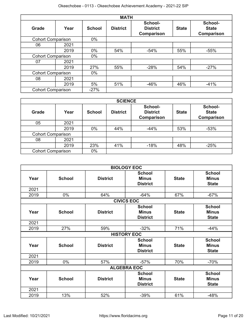|                          |      |               | <b>MATH</b>     |                                                 |              |                                              |
|--------------------------|------|---------------|-----------------|-------------------------------------------------|--------------|----------------------------------------------|
| <b>Grade</b>             | Year | <b>School</b> | <b>District</b> | School-<br><b>District</b><br><b>Comparison</b> | <b>State</b> | School-<br><b>State</b><br><b>Comparison</b> |
| <b>Cohort Comparison</b> |      | $0\%$         |                 |                                                 |              |                                              |
| 06                       | 2021 |               |                 |                                                 |              |                                              |
|                          | 2019 | $0\%$         | 54%             | $-54%$                                          | 55%          | $-55%$                                       |
| <b>Cohort Comparison</b> |      | $0\%$         |                 |                                                 |              |                                              |
| 07                       | 2021 |               |                 |                                                 |              |                                              |
|                          | 2019 | 27%           | 55%             | $-28%$                                          | 54%          | $-27%$                                       |
| <b>Cohort Comparison</b> |      | $0\%$         |                 |                                                 |              |                                              |
| 08                       | 2021 |               |                 |                                                 |              |                                              |
|                          | 2019 | 5%            | 51%             | $-46%$                                          | 46%          | $-41%$                                       |
| <b>Cohort Comparison</b> |      | $-27%$        |                 |                                                 |              |                                              |

|                          |                          |               | <b>SCIENCE</b>  |                                          |              |                                       |
|--------------------------|--------------------------|---------------|-----------------|------------------------------------------|--------------|---------------------------------------|
| Grade                    | Year                     | <b>School</b> | <b>District</b> | School-<br><b>District</b><br>Comparison | <b>State</b> | School-<br><b>State</b><br>Comparison |
| 05                       | 2021                     |               |                 |                                          |              |                                       |
|                          | 2019                     | $0\%$         | 44%             | $-44%$                                   | 53%          | $-53%$                                |
|                          | <b>Cohort Comparison</b> |               |                 |                                          |              |                                       |
| 08                       | 2021                     |               |                 |                                          |              |                                       |
|                          | 2019                     | 23%           | 41%             | $-18%$                                   | 48%          | $-25%$                                |
| <b>Cohort Comparison</b> |                          | $0\%$         |                 |                                          |              |                                       |

|      | <b>BIOLOGY EOC</b> |                 |                                                  |              |                                               |
|------|--------------------|-----------------|--------------------------------------------------|--------------|-----------------------------------------------|
| Year | <b>School</b>      | <b>District</b> | <b>School</b><br><b>Minus</b><br><b>District</b> | <b>State</b> | <b>School</b><br><b>Minus</b><br><b>State</b> |
| 2021 |                    |                 |                                                  |              |                                               |
| 2019 | 0%                 | 64%             | $-64%$                                           | 67%          | $-67%$                                        |
|      |                    |                 | <b>CIVICS EOC</b>                                |              |                                               |
| Year | <b>School</b>      | <b>District</b> | <b>School</b><br><b>Minus</b><br><b>District</b> | <b>State</b> | <b>School</b><br><b>Minus</b><br><b>State</b> |
| 2021 |                    |                 |                                                  |              |                                               |
| 2019 | 27%                | 59%             | $-32%$                                           | 71%          | $-44%$                                        |
|      |                    |                 | <b>HISTORY EOC</b>                               |              |                                               |
| Year | <b>School</b>      | <b>District</b> | <b>School</b><br><b>Minus</b><br><b>District</b> | <b>State</b> | <b>School</b><br><b>Minus</b><br><b>State</b> |
| 2021 |                    |                 |                                                  |              |                                               |
| 2019 | 0%                 | 57%             | $-57%$                                           | 70%          | $-70%$                                        |
|      | <b>ALGEBRA EOC</b> |                 |                                                  |              |                                               |
| Year | <b>School</b>      | <b>District</b> | <b>School</b><br><b>Minus</b><br><b>District</b> | <b>State</b> | <b>School</b><br><b>Minus</b><br><b>State</b> |
| 2021 |                    |                 |                                                  |              |                                               |
| 2019 | 13%                | 52%             | $-39%$                                           | 61%          | $-48%$                                        |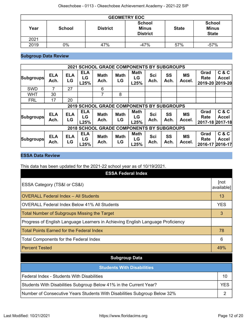| <b>GEOMETRY EOC</b> |               |                 |                                                  |              |                                               |
|---------------------|---------------|-----------------|--------------------------------------------------|--------------|-----------------------------------------------|
| Year                | <b>School</b> | <b>District</b> | <b>School</b><br><b>Minus</b><br><b>District</b> | <b>State</b> | <b>School</b><br><b>Minus</b><br><b>State</b> |
| 2021                |               |                 |                                                  |              |                                               |
| 2019                | 0%            | 47%             | $-47%$                                           | 57%          | $-57%$                                        |

### **Subgroup Data Review**

| <b>SCHOOL GRADE COMPONENTS BY SUBGROUPS</b><br>2021 |                    |                  |                          |                                                  |                   |                           |                    |                   |                     |                         |                                          |
|-----------------------------------------------------|--------------------|------------------|--------------------------|--------------------------------------------------|-------------------|---------------------------|--------------------|-------------------|---------------------|-------------------------|------------------------------------------|
| <b>Subgroups</b>                                    | <b>ELA</b><br>Ach. | <b>ELA</b><br>LG | <b>ELA</b><br>LG<br>L25% | <b>Math</b><br>Ach.                              | <b>Math</b><br>LG | <b>Math</b><br>LG<br>L25% | <b>Sci</b><br>Ach. | SS<br>Ach.        | <b>MS</b><br>Accel. | Grad<br>Rate<br>2019-20 | C & C<br><b>Accel</b><br>2019-20         |
| <b>SWD</b>                                          | $\overline{7}$     | 27               |                          | 6                                                |                   |                           |                    |                   |                     |                         |                                          |
| <b>WHT</b>                                          | 30                 |                  |                          | 7                                                | 8                 |                           |                    |                   |                     |                         |                                          |
| <b>FRL</b>                                          | 17                 | 20               |                          |                                                  |                   |                           |                    |                   |                     |                         |                                          |
|                                                     |                    |                  |                          | <b>2019 SCHOOL GRADE COMPONENTS BY SUBGROUPS</b> |                   |                           |                    |                   |                     |                         |                                          |
| <b>Subgroups</b>                                    | <b>ELA</b><br>Ach. | <b>ELA</b><br>LG | <b>ELA</b><br>LG<br>L25% | <b>Math</b><br>Ach.                              | <b>Math</b><br>LG | <b>Math</b><br>LG<br>L25% | Sci<br>Ach.        | SS<br>Ach.        | <b>MS</b><br>Accel. | Grad<br>Rate            | C & C<br><b>Accel</b><br>2017-18 2017-18 |
| 2018 SCHOOL GRADE COMPONENTS BY SUBGROUPS           |                    |                  |                          |                                                  |                   |                           |                    |                   |                     |                         |                                          |
| <b>Subgroups</b>                                    | <b>ELA</b><br>Ach. | <b>ELA</b><br>LG | <b>ELA</b><br>LG<br>L25% | <b>Math</b><br>Ach.                              | <b>Math</b><br>LG | <b>Math</b><br>LG<br>L25% | <b>Sci</b><br>Ach. | <b>SS</b><br>Ach. | <b>MS</b><br>Accel. | Grad<br>Rate<br>2016-17 | C&C<br><b>Accel</b><br>2016-17           |

### **ESSA Data Review**

This data has been updated for the 2021-22 school year as of 10/19/2021.

| <b>ESSA Federal Index</b>                                                       |                    |
|---------------------------------------------------------------------------------|--------------------|
| ESSA Category (TS&I or CS&I)                                                    | [not<br>available] |
| <b>OVERALL Federal Index - All Students</b>                                     | 13                 |
| <b>OVERALL Federal Index Below 41% All Students</b>                             | <b>YES</b>         |
| <b>Total Number of Subgroups Missing the Target</b>                             | 3                  |
| Progress of English Language Learners in Achieving English Language Proficiency |                    |
| <b>Total Points Earned for the Federal Index</b>                                | 78                 |
| Total Components for the Federal Index                                          | 6                  |
| <b>Percent Tested</b>                                                           | 49%                |
| <b>Subgroup Data</b>                                                            |                    |
| <b>Students With Disabilities</b>                                               |                    |
| Federal Index - Students With Disabilities                                      | 10                 |
| Students With Disabilities Subgroup Below 41% in the Current Year?              | <b>YES</b>         |
| Number of Consecutive Years Students With Disabilities Subgroup Below 32%       | $\overline{2}$     |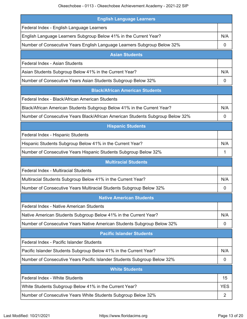Okeechobee - 0113 - Okeechobee Achievement Academy - 2021-22 SIP

| <b>English Language Learners</b>                                               |            |
|--------------------------------------------------------------------------------|------------|
| Federal Index - English Language Learners                                      |            |
| English Language Learners Subgroup Below 41% in the Current Year?              | N/A        |
| Number of Consecutive Years English Language Learners Subgroup Below 32%       | 0          |
| <b>Asian Students</b>                                                          |            |
| Federal Index - Asian Students                                                 |            |
| Asian Students Subgroup Below 41% in the Current Year?                         | N/A        |
| Number of Consecutive Years Asian Students Subgroup Below 32%                  | 0          |
| <b>Black/African American Students</b>                                         |            |
| Federal Index - Black/African American Students                                |            |
| Black/African American Students Subgroup Below 41% in the Current Year?        | N/A        |
| Number of Consecutive Years Black/African American Students Subgroup Below 32% | 0          |
| <b>Hispanic Students</b>                                                       |            |
| Federal Index - Hispanic Students                                              |            |
| Hispanic Students Subgroup Below 41% in the Current Year?                      | N/A        |
| Number of Consecutive Years Hispanic Students Subgroup Below 32%               | 1          |
| <b>Multiracial Students</b>                                                    |            |
| <b>Federal Index - Multiracial Students</b>                                    |            |
| Multiracial Students Subgroup Below 41% in the Current Year?                   | N/A        |
| Number of Consecutive Years Multiracial Students Subgroup Below 32%            | 0          |
| <b>Native American Students</b>                                                |            |
| Federal Index - Native American Students                                       |            |
| Native American Students Subgroup Below 41% in the Current Year?               | N/A        |
| Number of Consecutive Years Native American Students Subgroup Below 32%        | 0          |
| <b>Pacific Islander Students</b>                                               |            |
| Federal Index - Pacific Islander Students                                      |            |
| Pacific Islander Students Subgroup Below 41% in the Current Year?              | N/A        |
| Number of Consecutive Years Pacific Islander Students Subgroup Below 32%       | 0          |
| <b>White Students</b>                                                          |            |
| <b>Federal Index - White Students</b>                                          | 15         |
| White Students Subgroup Below 41% in the Current Year?                         | <b>YES</b> |
|                                                                                |            |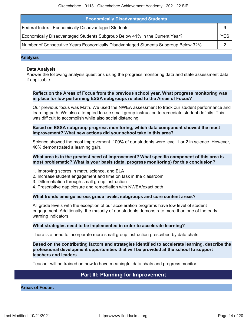| <b>Economically Disadvantaged Students</b>                                         |     |  |
|------------------------------------------------------------------------------------|-----|--|
| Federal Index - Economically Disadvantaged Students                                |     |  |
| Economically Disadvantaged Students Subgroup Below 41% in the Current Year?        | YES |  |
| Number of Consecutive Years Economically Disadvantaged Students Subgroup Below 32% |     |  |

#### **Analysis**

#### **Data Analysis**

Answer the following analysis questions using the progress monitoring data and state assessment data, if applicable.

#### **Reflect on the Areas of Focus from the previous school year. What progress monitoring was in place for low performing ESSA subgroups related to the Areas of Focus?**

Our previous focus was Math. We used the NWEA assessment to track our student performance and learning path. We also attempted to use small group instruction to remediate student deficits. This was difficult to accomplish while also social distancing.

#### **Based on ESSA subgroup progress monitoring, which data component showed the most improvement? What new actions did your school take in this area?**

Science showed the most improvement. 100% of our students were level 1 or 2 in science. However, 40% demonstrated a learning gain.

#### **What area is in the greatest need of improvement? What specific component of this area is most problematic? What is your basis (data, progress monitoring) for this conclusion?**

- 1. Improving scores in math, science, and ELA
- 2. Increase student engagement and time on task in the classroom.
- 3. Differentiation through small group instruction
- 4. Prescriptive gap closure and remediation with NWEA/exact path

#### **What trends emerge across grade levels, subgroups and core content areas?**

All grade levels with the exception of our acceleration programs have low level of student engagement. Additionally, the majority of our students demonstrate more than one of the early warning indicators.

#### **What strategies need to be implemented in order to accelerate learning?**

There is a need to incorporate more small group instruction prescribed by data chats.

#### **Based on the contributing factors and strategies identified to accelerate learning, describe the professional development opportunities that will be provided at the school to support teachers and leaders.**

Teacher will be trained on how to have meaningful data chats and progress monitor.

### **Part III: Planning for Improvement**

<span id="page-13-0"></span>**Areas of Focus:**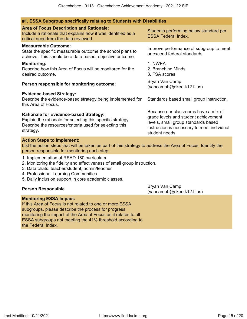#### **#1. ESSA Subgroup specifically relating to Students with Disabilities**

| #1. ESSA Subgroup specifically relating to Students with Disabilities                                                                                                                             |                                                                                                                                                                                      |
|---------------------------------------------------------------------------------------------------------------------------------------------------------------------------------------------------|--------------------------------------------------------------------------------------------------------------------------------------------------------------------------------------|
| <b>Area of Focus Description and Rationale:</b><br>Include a rationale that explains how it was identified as a<br>critical need from the data reviewed.                                          | Students performing below standard per<br><b>ESSA Federal Index.</b>                                                                                                                 |
| <b>Measureable Outcome:</b><br>State the specific measurable outcome the school plans to<br>achieve. This should be a data based, objective outcome.                                              | Improve performance of subgroup to meet<br>or exceed federal standards                                                                                                               |
| <b>Monitoring:</b><br>Describe how this Area of Focus will be monitored for the<br>desired outcome.                                                                                               | 1. NWEA<br>2. Branching Minds<br>3. FSA scores                                                                                                                                       |
| Person responsible for monitoring outcome:                                                                                                                                                        | Bryan Van Camp<br>(vancampb@okee.k12.fl.us)                                                                                                                                          |
| <b>Evidence-based Strategy:</b><br>Describe the evidence-based strategy being implemented for<br>this Area of Focus.                                                                              | Standards based small group instruction.                                                                                                                                             |
| <b>Rationale for Evidence-based Strategy:</b><br>Explain the rationale for selecting this specific strategy.<br>Describe the resources/criteria used for selecting this<br>strategy.              | Because our classrooms have a mix of<br>grade levels and student achievement<br>levels, small group standards based<br>instruction is necessary to meet individual<br>student needs. |
| <b>Action Steps to Implement:</b><br>List the action steps that will be taken as part of this strategy to address the Area of Focus. Identify the<br>person responsible for monitoring each step. |                                                                                                                                                                                      |
| 1. Implementation of READ 180 curriculum<br>2. Monitoring the fidelity and effectiveness of small group instruction.<br>3. Data chats: teacher/student; admin/teacher                             |                                                                                                                                                                                      |

- 4. Professional Learning Communities
- 5. Daily inclusion support in core academic classes.

#### **Monitoring ESSA Impact:**

If this Area of Focus is not related to one or more ESSA subgroups, please describe the process for progress monitoring the impact of the Area of Focus as it relates to all ESSA subgroups not meeting the 41% threshold according to the Federal Index.

**Person Responsible Bryan Van Camp**<br> **Person Responsible Bryan Van Camp** (vancampb@okee.k12.fl.us)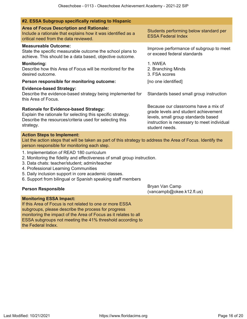| #2. ESSA Subgroup specifically relating to Hispanic                                                                                                                                                                                                                                                                                  |                                                                                                                                                                                      |
|--------------------------------------------------------------------------------------------------------------------------------------------------------------------------------------------------------------------------------------------------------------------------------------------------------------------------------------|--------------------------------------------------------------------------------------------------------------------------------------------------------------------------------------|
| <b>Area of Focus Description and Rationale:</b><br>Include a rationale that explains how it was identified as a<br>critical need from the data reviewed.                                                                                                                                                                             | Students performing below standard per<br><b>ESSA Federal Index</b>                                                                                                                  |
| <b>Measureable Outcome:</b><br>State the specific measurable outcome the school plans to<br>achieve. This should be a data based, objective outcome.                                                                                                                                                                                 | Improve performance of subgroup to meet<br>or exceed federal standards                                                                                                               |
| <b>Monitoring:</b><br>Describe how this Area of Focus will be monitored for the<br>desired outcome.                                                                                                                                                                                                                                  | 1. NWEA<br>2. Branching Minds<br>3. FSA scores                                                                                                                                       |
| Person responsible for monitoring outcome:                                                                                                                                                                                                                                                                                           | [no one identified]                                                                                                                                                                  |
| <b>Evidence-based Strategy:</b><br>Describe the evidence-based strategy being implemented for<br>this Area of Focus.                                                                                                                                                                                                                 | Standards based small group instruction                                                                                                                                              |
| <b>Rationale for Evidence-based Strategy:</b><br>Explain the rationale for selecting this specific strategy.<br>Describe the resources/criteria used for selecting this<br>strategy.                                                                                                                                                 | Because our classrooms have a mix of<br>grade levels and student achievement<br>levels, small group standards based<br>instruction is necessary to meet individual<br>student needs. |
| <b>Action Steps to Implement:</b><br>List the action steps that will be taken as part of this strategy to address the Area of Focus. Identify the<br>person responsible for monitoring each step.                                                                                                                                    |                                                                                                                                                                                      |
| 1. Implementation of READ 180 curriculum<br>2. Monitoring the fidelity and effectiveness of small group instruction.<br>3. Data chats: teacher/student; admin/teacher<br>4. Professional Learning Communities<br>5. Daily inclusion support in core academic classes.<br>6. Support from bilingual or Spanish speaking staff members |                                                                                                                                                                                      |
| <b>Person Responsible</b>                                                                                                                                                                                                                                                                                                            | Bryan Van Camp<br>(vancampb@okee.k12.fl.us)                                                                                                                                          |
| <b>Monitoring ESSA Impact:</b><br>If this Area of Focus is not related to one or more ESSA<br>subgroups, please describe the process for progress                                                                                                                                                                                    |                                                                                                                                                                                      |

subgroups, please describe the process for progress monitoring the impact of the Area of Focus as it relates to all ESSA subgroups not meeting the 41% threshold according to the Federal Index.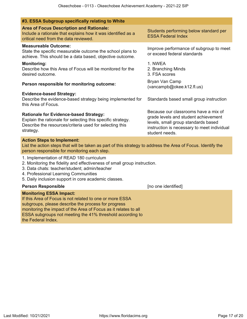| #3. ESSA Subgroup specifically relating to White                                                                                                                                                                                                                                                        |                                                                                                                                                                                      |
|---------------------------------------------------------------------------------------------------------------------------------------------------------------------------------------------------------------------------------------------------------------------------------------------------------|--------------------------------------------------------------------------------------------------------------------------------------------------------------------------------------|
| <b>Area of Focus Description and Rationale:</b><br>Include a rationale that explains how it was identified as a<br>critical need from the data reviewed.                                                                                                                                                | Students performing below standard per<br><b>ESSA Federal Index</b>                                                                                                                  |
| <b>Measureable Outcome:</b><br>State the specific measurable outcome the school plans to<br>achieve. This should be a data based, objective outcome.                                                                                                                                                    | Improve performance of subgroup to meet<br>or exceed federal standards                                                                                                               |
| <b>Monitoring:</b><br>Describe how this Area of Focus will be monitored for the<br>desired outcome.                                                                                                                                                                                                     | 1. NWEA<br>2. Branching Minds<br>3. FSA scores                                                                                                                                       |
| Person responsible for monitoring outcome:                                                                                                                                                                                                                                                              | Bryan Van Camp<br>(vancampb@okee.k12.fl.us)                                                                                                                                          |
| <b>Evidence-based Strategy:</b><br>Describe the evidence-based strategy being implemented for<br>this Area of Focus.                                                                                                                                                                                    | Standards based small group instruction                                                                                                                                              |
| <b>Rationale for Evidence-based Strategy:</b><br>Explain the rationale for selecting this specific strategy.<br>Describe the resources/criteria used for selecting this<br>strategy.                                                                                                                    | Because our classrooms have a mix of<br>grade levels and student achievement<br>levels, small group standards based<br>instruction is necessary to meet individual<br>student needs. |
| <b>Action Steps to Implement:</b><br>List the action steps that will be taken as part of this strategy to address the Area of Focus. Identify the<br>person responsible for monitoring each step.                                                                                                       |                                                                                                                                                                                      |
| 1. Implementation of READ 180 curriculum<br>2. Monitoring the fidelity and effectiveness of small group instruction.<br>3. Data chats: teacher/student; admin/teacher<br>4. Professional Learning Communities<br>5. Daily inclusion support in core academic classes.                                   |                                                                                                                                                                                      |
| <b>Person Responsible</b>                                                                                                                                                                                                                                                                               | [no one identified]                                                                                                                                                                  |
| <b>Monitoring ESSA Impact:</b><br>If this Area of Focus is not related to one or more ESSA<br>subgroups, please describe the process for progress<br>monitoring the impact of the Area of Focus as it relates to all<br>ESSA subgroups not meeting the 41% threshold according to<br>the Federal Index. |                                                                                                                                                                                      |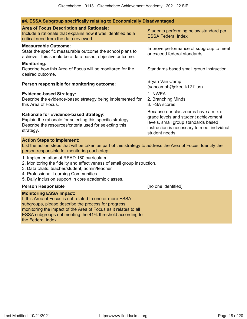### **#4. ESSA Subgroup specifically relating to Economically Disadvantaged**

| <b>Area of Focus Description and Rationale:</b><br>Include a rationale that explains how it was identified as a<br>critical need from the data reviewed.                                                                                                                          | Students performing below standard per<br><b>ESSA Federal Index</b>                                                                                                                  |
|-----------------------------------------------------------------------------------------------------------------------------------------------------------------------------------------------------------------------------------------------------------------------------------|--------------------------------------------------------------------------------------------------------------------------------------------------------------------------------------|
| <b>Measureable Outcome:</b><br>State the specific measurable outcome the school plans to<br>achieve. This should be a data based, objective outcome.                                                                                                                              | Improve performance of subgroup to meet<br>or exceed federal standards                                                                                                               |
| <b>Monitoring:</b><br>Describe how this Area of Focus will be monitored for the<br>desired outcome.                                                                                                                                                                               | Standards based small group instruction                                                                                                                                              |
| Person responsible for monitoring outcome:                                                                                                                                                                                                                                        | Bryan Van Camp<br>(vancampb@okee.k12.fl.us)                                                                                                                                          |
| <b>Evidence-based Strategy:</b><br>Describe the evidence-based strategy being implemented for<br>this Area of Focus.                                                                                                                                                              | 1. NWEA<br>2. Branching Minds<br>3. FSA scores                                                                                                                                       |
| <b>Rationale for Evidence-based Strategy:</b><br>Explain the rationale for selecting this specific strategy.<br>Describe the resources/criteria used for selecting this<br>strategy.                                                                                              | Because our classrooms have a mix of<br>grade levels and student achievement<br>levels, small group standards based<br>instruction is necessary to meet individual<br>student needs. |
| <b>Action Steps to Implement:</b><br>List the action steps that will be taken as part of this strategy to address the Area of Focus. Identify the<br>person responsible for monitoring each step.                                                                                 |                                                                                                                                                                                      |
| 1. Implementation of READ 180 curriculum<br>2. Monitoring the fidelity and effectiveness of small group instruction.<br>3. Data chats: teacher/student; admin/teacher<br>4. Professional Learning Communities<br>5. Daily inclusion support in core academic classes.             |                                                                                                                                                                                      |
| <b>Person Responsible</b>                                                                                                                                                                                                                                                         | [no one identified]                                                                                                                                                                  |
| <b>Monitoring ESSA Impact:</b><br>If this Area of Focus is not related to one or more ESSA<br>subgroups, please describe the process for progress<br>monitoring the impact of the Area of Focus as it relates to all<br>ESSA subgroups not meeting the 41% threshold according to |                                                                                                                                                                                      |

the Federal Index.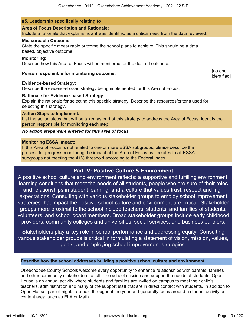#### **#5. Leadership specifically relating to**

#### **Area of Focus Description and Rationale:**

Include a rationale that explains how it was identified as a critical need from the data reviewed.

#### **Measureable Outcome:**

State the specific measurable outcome the school plans to achieve. This should be a data based, objective outcome.

#### **Monitoring:**

Describe how this Area of Focus will be monitored for the desired outcome.

### **Person responsible for monitoring outcome:** [no one

#### **Evidence-based Strategy:**

Describe the evidence-based strategy being implemented for this Area of Focus.

#### **Rationale for Evidence-based Strategy:**

Explain the rationale for selecting this specific strategy. Describe the resources/criteria used for selecting this strategy.

#### **Action Steps to Implement:**

List the action steps that will be taken as part of this strategy to address the Area of Focus. Identify the person responsible for monitoring each step.

#### *No action steps were entered for this area of focus*

#### **Monitoring ESSA Impact:**

If this Area of Focus is not related to one or more ESSA subgroups, please describe the process for progress monitoring the impact of the Area of Focus as it relates to all ESSA subgroups not meeting the 41% threshold according to the Federal Index.

### **Part IV: Positive Culture & Environment**

<span id="page-18-0"></span>A positive school culture and environment reflects: a supportive and fulfilling environment, learning conditions that meet the needs of all students, people who are sure of their roles and relationships in student learning, and a culture that values trust, respect and high expectations. Consulting with various stakeholder groups to employ school improvement strategies that impact the positive school culture and environment are critical. Stakeholder groups more proximal to the school include teachers, students, and families of students, volunteers, and school board members. Broad stakeholder groups include early childhood providers, community colleges and universities, social services, and business partners.

Stakeholders play a key role in school performance and addressing equity. Consulting various stakeholder groups is critical in formulating a statement of vision, mission, values, goals, and employing school improvement strategies.

#### **Describe how the school addresses building a positive school culture and environment.**

Okeechobee County Schools welcome every opportunity to enhance relationships with parents, families and other community stakeholders to fulfill the school mission and support the needs of students. Open House is an annual activity where students and families are invited on campus to meet their child's teachers, administration and many of the support staff that are in direct contact with students. In addition to Open House, parent nights are held throughout the year and generally focus around a student activity or content area, such as ELA or Math.

identified]